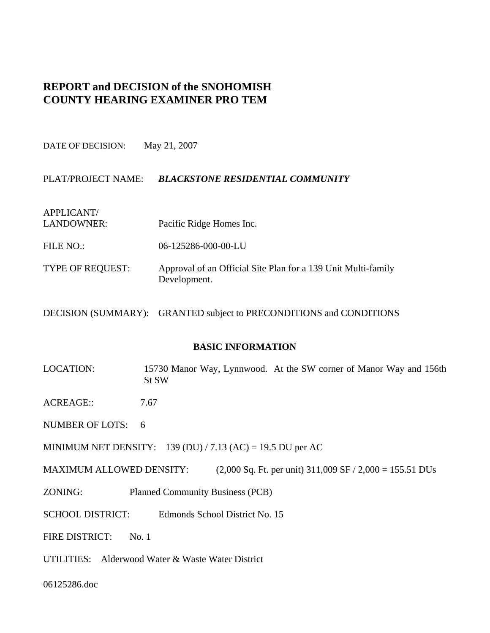# **REPORT and DECISION of the SNOHOMISH COUNTY HEARING EXAMINER PRO TEM**

DATE OF DECISION: May 21, 2007

# PLAT/PROJECT NAME: *BLACKSTONE RESIDENTIAL COMMUNITY*

APPLICANT/ LANDOWNER: Pacific Ridge Homes Inc. FILE NO.: 06-125286-000-00-LU TYPE OF REQUEST: Approval of an Official Site Plan for a 139 Unit Multi-family Development.

DECISION (SUMMARY): GRANTED subject to PRECONDITIONS and CONDITIONS

#### **BASIC INFORMATION**

- LOCATION: 15730 Manor Way, Lynnwood. At the SW corner of Manor Way and 156th St SW
- ACREAGE:: 7.67
- NUMBER OF LOTS: 6
- MINIMUM NET DENSITY: 139 (DU) / 7.13 (AC) = 19.5 DU per AC
- MAXIMUM ALLOWED DENSITY: (2,000 Sq. Ft. per unit)  $311,009$  SF  $/ 2,000 = 155.51$  DUs
- ZONING: Planned Community Business (PCB)
- SCHOOL DISTRICT: Edmonds School District No. 15
- FIRE DISTRICT: No. 1
- UTILITIES: Alderwood Water & Waste Water District

06125286.doc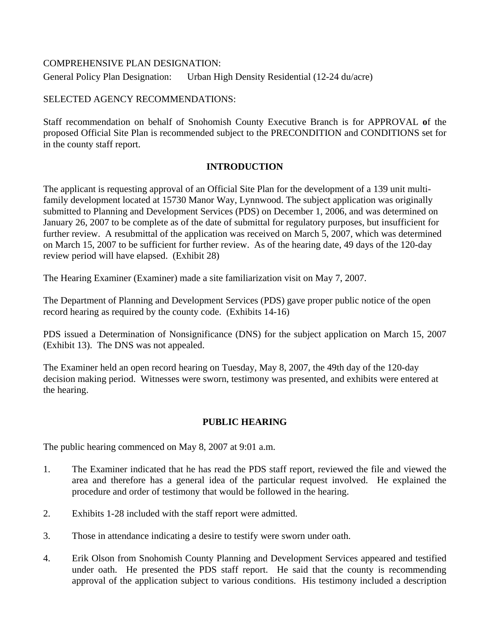# COMPREHENSIVE PLAN DESIGNATION:

General Policy Plan Designation: Urban High Density Residential (12-24 du/acre)

# SELECTED AGENCY RECOMMENDATIONS:

Staff recommendation on behalf of Snohomish County Executive Branch is for APPROVAL **o**f the proposed Official Site Plan is recommended subject to the PRECONDITION and CONDITIONS set for in the county staff report.

# **INTRODUCTION**

The applicant is requesting approval of an Official Site Plan for the development of a 139 unit multifamily development located at 15730 Manor Way, Lynnwood. The subject application was originally submitted to Planning and Development Services (PDS) on December 1, 2006, and was determined on January 26, 2007 to be complete as of the date of submittal for regulatory purposes, but insufficient for further review. A resubmittal of the application was received on March 5, 2007, which was determined on March 15, 2007 to be sufficient for further review. As of the hearing date, 49 days of the 120-day review period will have elapsed. (Exhibit 28)

The Hearing Examiner (Examiner) made a site familiarization visit on May 7, 2007.

The Department of Planning and Development Services (PDS) gave proper public notice of the open record hearing as required by the county code. (Exhibits 14-16)

PDS issued a Determination of Nonsignificance (DNS) for the subject application on March 15, 2007 (Exhibit 13). The DNS was not appealed.

The Examiner held an open record hearing on Tuesday, May 8, 2007, the 49th day of the 120-day decision making period. Witnesses were sworn, testimony was presented, and exhibits were entered at the hearing.

# **PUBLIC HEARING**

The public hearing commenced on May 8, 2007 at 9:01 a.m.

- 1. The Examiner indicated that he has read the PDS staff report, reviewed the file and viewed the area and therefore has a general idea of the particular request involved. He explained the procedure and order of testimony that would be followed in the hearing.
- 2. Exhibits 1-28 included with the staff report were admitted.
- 3. Those in attendance indicating a desire to testify were sworn under oath.
- 4. Erik Olson from Snohomish County Planning and Development Services appeared and testified under oath. He presented the PDS staff report. He said that the county is recommending approval of the application subject to various conditions. His testimony included a description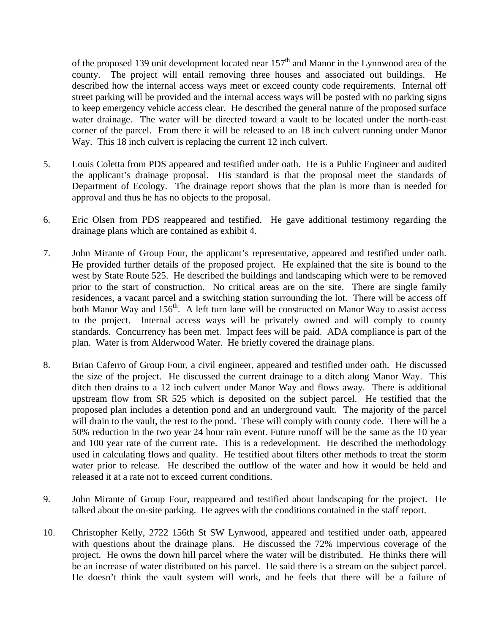of the proposed 139 unit development located near  $157<sup>th</sup>$  and Manor in the Lynnwood area of the county. The project will entail removing three houses and associated out buildings. He described how the internal access ways meet or exceed county code requirements. Internal off street parking will be provided and the internal access ways will be posted with no parking signs to keep emergency vehicle access clear. He described the general nature of the proposed surface water drainage. The water will be directed toward a vault to be located under the north-east corner of the parcel. From there it will be released to an 18 inch culvert running under Manor Way. This 18 inch culvert is replacing the current 12 inch culvert.

- 5. Louis Coletta from PDS appeared and testified under oath. He is a Public Engineer and audited the applicant's drainage proposal. His standard is that the proposal meet the standards of Department of Ecology. The drainage report shows that the plan is more than is needed for approval and thus he has no objects to the proposal.
- 6. Eric Olsen from PDS reappeared and testified. He gave additional testimony regarding the drainage plans which are contained as exhibit 4.
- 7. John Mirante of Group Four, the applicant's representative, appeared and testified under oath. He provided further details of the proposed project. He explained that the site is bound to the west by State Route 525. He described the buildings and landscaping which were to be removed prior to the start of construction. No critical areas are on the site. There are single family residences, a vacant parcel and a switching station surrounding the lot. There will be access off both Manor Way and  $156<sup>th</sup>$ . A left turn lane will be constructed on Manor Way to assist access to the project. Internal access ways will be privately owned and will comply to county standards. Concurrency has been met. Impact fees will be paid. ADA compliance is part of the plan. Water is from Alderwood Water. He briefly covered the drainage plans.
- 8. Brian Caferro of Group Four, a civil engineer, appeared and testified under oath. He discussed the size of the project. He discussed the current drainage to a ditch along Manor Way. This ditch then drains to a 12 inch culvert under Manor Way and flows away. There is additional upstream flow from SR 525 which is deposited on the subject parcel. He testified that the proposed plan includes a detention pond and an underground vault. The majority of the parcel will drain to the vault, the rest to the pond. These will comply with county code. There will be a 50% reduction in the two year 24 hour rain event. Future runoff will be the same as the 10 year and 100 year rate of the current rate. This is a redevelopment. He described the methodology used in calculating flows and quality. He testified about filters other methods to treat the storm water prior to release. He described the outflow of the water and how it would be held and released it at a rate not to exceed current conditions.
- 9. John Mirante of Group Four, reappeared and testified about landscaping for the project. He talked about the on-site parking. He agrees with the conditions contained in the staff report.
- 10. Christopher Kelly, 2722 156th St SW Lynwood, appeared and testified under oath, appeared with questions about the drainage plans. He discussed the 72% impervious coverage of the project. He owns the down hill parcel where the water will be distributed. He thinks there will be an increase of water distributed on his parcel. He said there is a stream on the subject parcel. He doesn't think the vault system will work, and he feels that there will be a failure of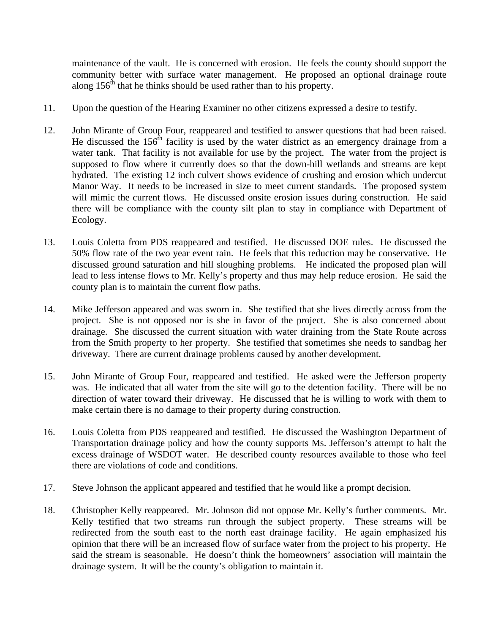maintenance of the vault. He is concerned with erosion. He feels the county should support the community better with surface water management. He proposed an optional drainage route along  $156<sup>th</sup>$  that he thinks should be used rather than to his property.

- 11. Upon the question of the Hearing Examiner no other citizens expressed a desire to testify.
- 12. John Mirante of Group Four, reappeared and testified to answer questions that had been raised. He discussed the 156<sup>th</sup> facility is used by the water district as an emergency drainage from a water tank. That facility is not available for use by the project. The water from the project is supposed to flow where it currently does so that the down-hill wetlands and streams are kept hydrated. The existing 12 inch culvert shows evidence of crushing and erosion which undercut Manor Way. It needs to be increased in size to meet current standards. The proposed system will mimic the current flows. He discussed onsite erosion issues during construction. He said there will be compliance with the county silt plan to stay in compliance with Department of Ecology.
- 13. Louis Coletta from PDS reappeared and testified. He discussed DOE rules. He discussed the 50% flow rate of the two year event rain. He feels that this reduction may be conservative. He discussed ground saturation and hill sloughing problems. He indicated the proposed plan will lead to less intense flows to Mr. Kelly's property and thus may help reduce erosion. He said the county plan is to maintain the current flow paths.
- 14. Mike Jefferson appeared and was sworn in. She testified that she lives directly across from the project. She is not opposed nor is she in favor of the project. She is also concerned about drainage. She discussed the current situation with water draining from the State Route across from the Smith property to her property. She testified that sometimes she needs to sandbag her driveway. There are current drainage problems caused by another development.
- 15. John Mirante of Group Four, reappeared and testified. He asked were the Jefferson property was. He indicated that all water from the site will go to the detention facility. There will be no direction of water toward their driveway. He discussed that he is willing to work with them to make certain there is no damage to their property during construction.
- 16. Louis Coletta from PDS reappeared and testified. He discussed the Washington Department of Transportation drainage policy and how the county supports Ms. Jefferson's attempt to halt the excess drainage of WSDOT water. He described county resources available to those who feel there are violations of code and conditions.
- 17. Steve Johnson the applicant appeared and testified that he would like a prompt decision.
- 18. Christopher Kelly reappeared. Mr. Johnson did not oppose Mr. Kelly's further comments. Mr. Kelly testified that two streams run through the subject property. These streams will be redirected from the south east to the north east drainage facility. He again emphasized his opinion that there will be an increased flow of surface water from the project to his property. He said the stream is seasonable. He doesn't think the homeowners' association will maintain the drainage system. It will be the county's obligation to maintain it.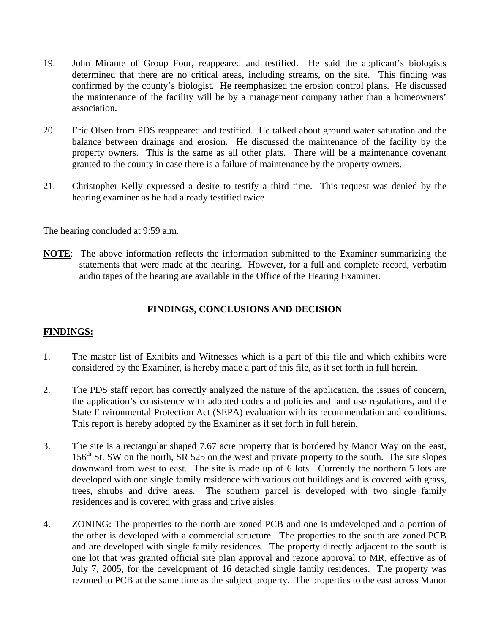- 19. John Mirante of Group Four, reappeared and testified. He said the applicant's biologists determined that there are no critical areas, including streams, on the site. This finding was confirmed by the county's biologist. He reemphasized the erosion control plans. He discussed the maintenance of the facility will be by a management company rather than a homeowners' association.
- 20. Eric Olsen from PDS reappeared and testified. He talked about ground water saturation and the balance between drainage and erosion. He discussed the maintenance of the facility by the property owners. This is the same as all other plats. There will be a maintenance covenant granted to the county in case there is a failure of maintenance by the property owners.
- 21. Christopher Kelly expressed a desire to testify a third time. This request was denied by the hearing examiner as he had already testified twice

The hearing concluded at 9:59 a.m.

**NOTE**: The above information reflects the information submitted to the Examiner summarizing the statements that were made at the hearing. However, for a full and complete record, verbatim audio tapes of the hearing are available in the Office of the Hearing Examiner.

# **FINDINGS, CONCLUSIONS AND DECISION**

#### **FINDINGS:**

- 1. The master list of Exhibits and Witnesses which is a part of this file and which exhibits were considered by the Examiner, is hereby made a part of this file, as if set forth in full herein.
- 2. The PDS staff report has correctly analyzed the nature of the application, the issues of concern, the application's consistency with adopted codes and policies and land use regulations, and the State Environmental Protection Act (SEPA) evaluation with its recommendation and conditions. This report is hereby adopted by the Examiner as if set forth in full herein.
- 3. The site is a rectangular shaped 7.67 acre property that is bordered by Manor Way on the east, 156<sup>th</sup> St. SW on the north, SR 525 on the west and private property to the south. The site slopes downward from west to east. The site is made up of 6 lots. Currently the northern 5 lots are developed with one single family residence with various out buildings and is covered with grass, trees, shrubs and drive areas. The southern parcel is developed with two single family residences and is covered with grass and drive aisles.
- 4. ZONING: The properties to the north are zoned PCB and one is undeveloped and a portion of the other is developed with a commercial structure. The properties to the south are zoned PCB and are developed with single family residences. The property directly adjacent to the south is one lot that was granted official site plan approval and rezone approval to MR, effective as of July 7, 2005, for the development of 16 detached single family residences. The property was rezoned to PCB at the same time as the subject property. The properties to the east across Manor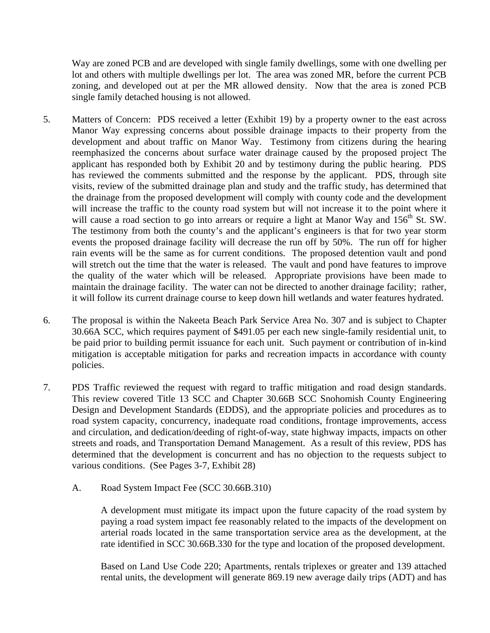Way are zoned PCB and are developed with single family dwellings, some with one dwelling per lot and others with multiple dwellings per lot. The area was zoned MR, before the current PCB zoning, and developed out at per the MR allowed density. Now that the area is zoned PCB single family detached housing is not allowed.

- 5. Matters of Concern: PDS received a letter (Exhibit 19) by a property owner to the east across Manor Way expressing concerns about possible drainage impacts to their property from the development and about traffic on Manor Way. Testimony from citizens during the hearing reemphasized the concerns about surface water drainage caused by the proposed project The applicant has responded both by Exhibit 20 and by testimony during the public hearing. PDS has reviewed the comments submitted and the response by the applicant. PDS, through site visits, review of the submitted drainage plan and study and the traffic study, has determined that the drainage from the proposed development will comply with county code and the development will increase the traffic to the county road system but will not increase it to the point where it will cause a road section to go into arrears or require a light at Manor Way and 156<sup>th</sup> St. SW. The testimony from both the county's and the applicant's engineers is that for two year storm events the proposed drainage facility will decrease the run off by 50%. The run off for higher rain events will be the same as for current conditions. The proposed detention vault and pond will stretch out the time that the water is released. The vault and pond have features to improve the quality of the water which will be released. Appropriate provisions have been made to maintain the drainage facility. The water can not be directed to another drainage facility; rather, it will follow its current drainage course to keep down hill wetlands and water features hydrated.
- 6. The proposal is within the Nakeeta Beach Park Service Area No. 307 and is subject to Chapter 30.66A SCC, which requires payment of \$491.05 per each new single-family residential unit, to be paid prior to building permit issuance for each unit. Such payment or contribution of in-kind mitigation is acceptable mitigation for parks and recreation impacts in accordance with county policies.
- 7. PDS Traffic reviewed the request with regard to traffic mitigation and road design standards. This review covered Title 13 SCC and Chapter 30.66B SCC Snohomish County Engineering Design and Development Standards (EDDS), and the appropriate policies and procedures as to road system capacity, concurrency, inadequate road conditions, frontage improvements, access and circulation, and dedication/deeding of right-of-way, state highway impacts, impacts on other streets and roads, and Transportation Demand Management. As a result of this review, PDS has determined that the development is concurrent and has no objection to the requests subject to various conditions. (See Pages 3-7, Exhibit 28)
	- A. Road System Impact Fee (SCC 30.66B.310)

A development must mitigate its impact upon the future capacity of the road system by paying a road system impact fee reasonably related to the impacts of the development on arterial roads located in the same transportation service area as the development, at the rate identified in SCC 30.66B.330 for the type and location of the proposed development.

Based on Land Use Code 220; Apartments, rentals triplexes or greater and 139 attached rental units, the development will generate 869.19 new average daily trips (ADT) and has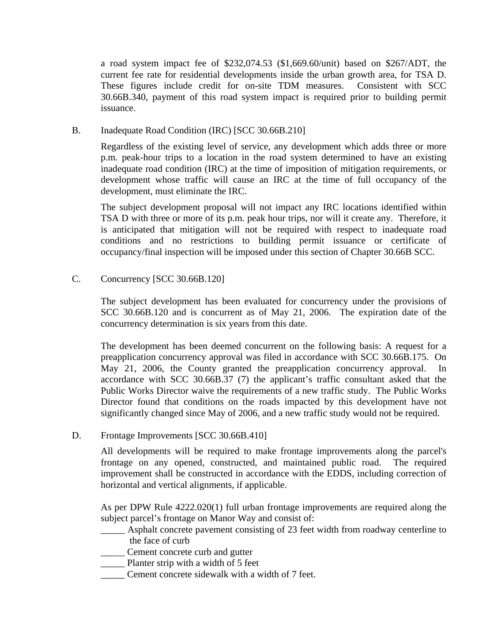a road system impact fee of \$232,074.53 (\$1,669.60/unit) based on \$267/ADT, the current fee rate for residential developments inside the urban growth area, for TSA D. These figures include credit for on-site TDM measures. Consistent with SCC 30.66B.340, payment of this road system impact is required prior to building permit issuance.

B. Inadequate Road Condition (IRC) [SCC 30.66B.210]

Regardless of the existing level of service, any development which adds three or more p.m. peak-hour trips to a location in the road system determined to have an existing inadequate road condition (IRC) at the time of imposition of mitigation requirements, or development whose traffic will cause an IRC at the time of full occupancy of the development, must eliminate the IRC.

The subject development proposal will not impact any IRC locations identified within TSA D with three or more of its p.m. peak hour trips, nor will it create any. Therefore, it is anticipated that mitigation will not be required with respect to inadequate road conditions and no restrictions to building permit issuance or certificate of occupancy/final inspection will be imposed under this section of Chapter 30.66B SCC.

C. Concurrency [SCC 30.66B.120]

The subject development has been evaluated for concurrency under the provisions of SCC 30.66B.120 and is concurrent as of May 21, 2006. The expiration date of the concurrency determination is six years from this date.

The development has been deemed concurrent on the following basis: A request for a preapplication concurrency approval was filed in accordance with SCC 30.66B.175. On May 21, 2006, the County granted the preapplication concurrency approval. In accordance with SCC 30.66B.37 (7) the applicant's traffic consultant asked that the Public Works Director waive the requirements of a new traffic study. The Public Works Director found that conditions on the roads impacted by this development have not significantly changed since May of 2006, and a new traffic study would not be required.

D. Frontage Improvements [SCC 30.66B.410]

All developments will be required to make frontage improvements along the parcel's frontage on any opened, constructed, and maintained public road. The required improvement shall be constructed in accordance with the EDDS, including correction of horizontal and vertical alignments, if applicable.

As per DPW Rule 4222.020(1) full urban frontage improvements are required along the subject parcel's frontage on Manor Way and consist of:

- \_\_\_\_\_ Asphalt concrete pavement consisting of 23 feet width from roadway centerline to the face of curb
- \_\_\_\_\_ Cement concrete curb and gutter
- \_\_\_\_\_ Planter strip with a width of 5 feet
- Cement concrete sidewalk with a width of 7 feet.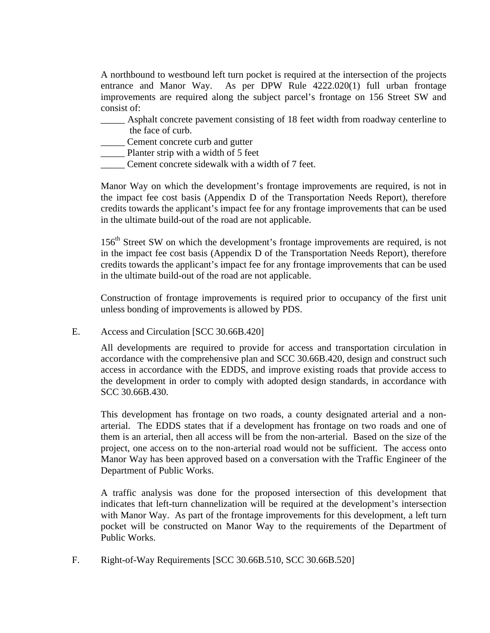A northbound to westbound left turn pocket is required at the intersection of the projects entrance and Manor Way. As per DPW Rule 4222.020(1) full urban frontage improvements are required along the subject parcel's frontage on 156 Street SW and consist of:

\_\_\_\_\_ Asphalt concrete pavement consisting of 18 feet width from roadway centerline to the face of curb.

\_\_\_\_\_ Cement concrete curb and gutter

\_\_\_\_\_ Planter strip with a width of 5 feet

\_\_\_\_\_ Cement concrete sidewalk with a width of 7 feet.

Manor Way on which the development's frontage improvements are required, is not in the impact fee cost basis (Appendix D of the Transportation Needs Report), therefore credits towards the applicant's impact fee for any frontage improvements that can be used in the ultimate build-out of the road are not applicable.

 $156<sup>th</sup>$  Street SW on which the development's frontage improvements are required, is not in the impact fee cost basis (Appendix D of the Transportation Needs Report), therefore credits towards the applicant's impact fee for any frontage improvements that can be used in the ultimate build-out of the road are not applicable.

Construction of frontage improvements is required prior to occupancy of the first unit unless bonding of improvements is allowed by PDS.

E. Access and Circulation [SCC 30.66B.420]

All developments are required to provide for access and transportation circulation in accordance with the comprehensive plan and SCC 30.66B.420, design and construct such access in accordance with the EDDS, and improve existing roads that provide access to the development in order to comply with adopted design standards, in accordance with SCC 30.66B.430.

This development has frontage on two roads, a county designated arterial and a nonarterial. The EDDS states that if a development has frontage on two roads and one of them is an arterial, then all access will be from the non-arterial. Based on the size of the project, one access on to the non-arterial road would not be sufficient. The access onto Manor Way has been approved based on a conversation with the Traffic Engineer of the Department of Public Works.

A traffic analysis was done for the proposed intersection of this development that indicates that left-turn channelization will be required at the development's intersection with Manor Way. As part of the frontage improvements for this development, a left turn pocket will be constructed on Manor Way to the requirements of the Department of Public Works.

F. Right-of-Way Requirements [SCC 30.66B.510, SCC 30.66B.520]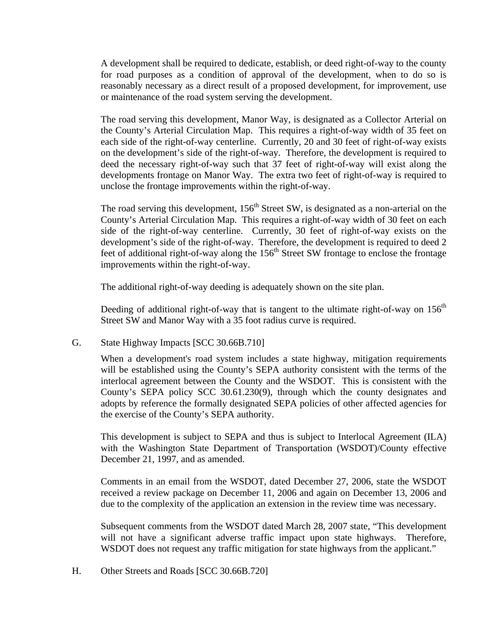A development shall be required to dedicate, establish, or deed right-of-way to the county for road purposes as a condition of approval of the development, when to do so is reasonably necessary as a direct result of a proposed development, for improvement, use or maintenance of the road system serving the development.

The road serving this development, Manor Way, is designated as a Collector Arterial on the County's Arterial Circulation Map. This requires a right-of-way width of 35 feet on each side of the right-of-way centerline. Currently, 20 and 30 feet of right-of-way exists on the development's side of the right-of-way. Therefore, the development is required to deed the necessary right-of-way such that 37 feet of right-of-way will exist along the developments frontage on Manor Way. The extra two feet of right-of-way is required to unclose the frontage improvements within the right-of-way.

The road serving this development,  $156<sup>th</sup>$  Street SW, is designated as a non-arterial on the County's Arterial Circulation Map. This requires a right-of-way width of 30 feet on each side of the right-of-way centerline. Currently, 30 feet of right-of-way exists on the development's side of the right-of-way. Therefore, the development is required to deed 2 feet of additional right-of-way along the 156<sup>th</sup> Street SW frontage to enclose the frontage improvements within the right-of-way.

The additional right-of-way deeding is adequately shown on the site plan.

Deeding of additional right-of-way that is tangent to the ultimate right-of-way on  $156<sup>th</sup>$ Street SW and Manor Way with a 35 foot radius curve is required.

G. State Highway Impacts [SCC 30.66B.710]

When a development's road system includes a state highway, mitigation requirements will be established using the County's SEPA authority consistent with the terms of the interlocal agreement between the County and the WSDOT. This is consistent with the County's SEPA policy SCC 30.61.230(9), through which the county designates and adopts by reference the formally designated SEPA policies of other affected agencies for the exercise of the County's SEPA authority.

This development is subject to SEPA and thus is subject to Interlocal Agreement (ILA) with the Washington State Department of Transportation (WSDOT)/County effective December 21, 1997, and as amended.

Comments in an email from the WSDOT, dated December 27, 2006, state the WSDOT received a review package on December 11, 2006 and again on December 13, 2006 and due to the complexity of the application an extension in the review time was necessary.

Subsequent comments from the WSDOT dated March 28, 2007 state, "This development will not have a significant adverse traffic impact upon state highways. Therefore, WSDOT does not request any traffic mitigation for state highways from the applicant."

H. Other Streets and Roads [SCC 30.66B.720]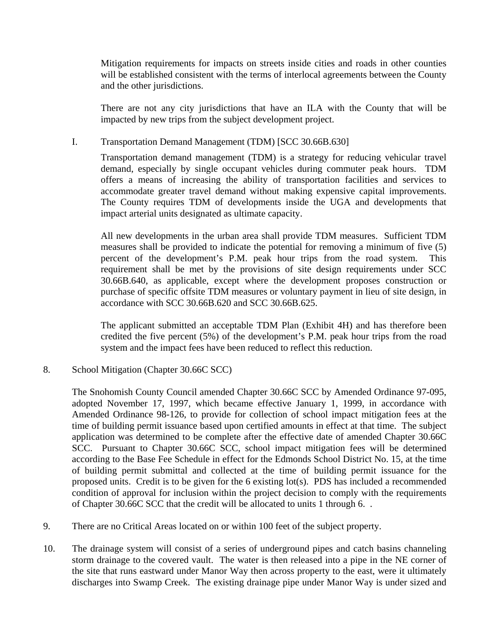Mitigation requirements for impacts on streets inside cities and roads in other counties will be established consistent with the terms of interlocal agreements between the County and the other jurisdictions.

There are not any city jurisdictions that have an ILA with the County that will be impacted by new trips from the subject development project.

### I. Transportation Demand Management (TDM) [SCC 30.66B.630]

Transportation demand management (TDM) is a strategy for reducing vehicular travel demand, especially by single occupant vehicles during commuter peak hours. TDM offers a means of increasing the ability of transportation facilities and services to accommodate greater travel demand without making expensive capital improvements. The County requires TDM of developments inside the UGA and developments that impact arterial units designated as ultimate capacity.

All new developments in the urban area shall provide TDM measures. Sufficient TDM measures shall be provided to indicate the potential for removing a minimum of five (5) percent of the development's P.M. peak hour trips from the road system. This requirement shall be met by the provisions of site design requirements under SCC 30.66B.640, as applicable, except where the development proposes construction or purchase of specific offsite TDM measures or voluntary payment in lieu of site design, in accordance with SCC 30.66B.620 and SCC 30.66B.625.

The applicant submitted an acceptable TDM Plan (Exhibit 4H) and has therefore been credited the five percent (5%) of the development's P.M. peak hour trips from the road system and the impact fees have been reduced to reflect this reduction.

8. School Mitigation (Chapter 30.66C SCC)

The Snohomish County Council amended Chapter 30.66C SCC by Amended Ordinance 97-095, adopted November 17, 1997, which became effective January 1, 1999, in accordance with Amended Ordinance 98-126, to provide for collection of school impact mitigation fees at the time of building permit issuance based upon certified amounts in effect at that time. The subject application was determined to be complete after the effective date of amended Chapter 30.66C SCC. Pursuant to Chapter 30.66C SCC, school impact mitigation fees will be determined according to the Base Fee Schedule in effect for the Edmonds School District No. 15, at the time of building permit submittal and collected at the time of building permit issuance for the proposed units. Credit is to be given for the 6 existing lot(s). PDS has included a recommended condition of approval for inclusion within the project decision to comply with the requirements of Chapter 30.66C SCC that the credit will be allocated to units 1 through 6. .

- 9. There are no Critical Areas located on or within 100 feet of the subject property.
- 10. The drainage system will consist of a series of underground pipes and catch basins channeling storm drainage to the covered vault. The water is then released into a pipe in the NE corner of the site that runs eastward under Manor Way then across property to the east, were it ultimately discharges into Swamp Creek. The existing drainage pipe under Manor Way is under sized and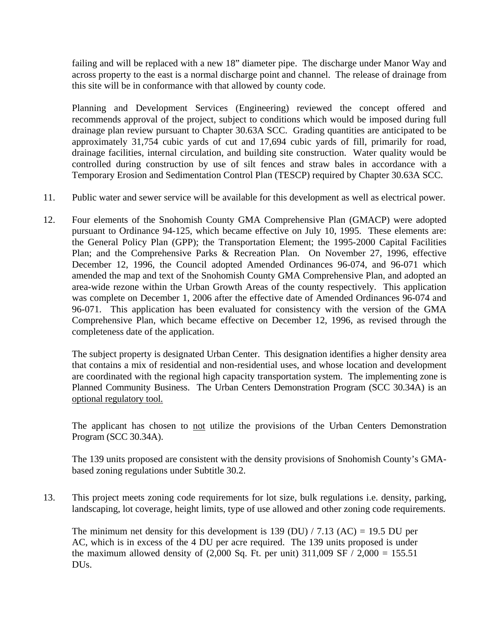failing and will be replaced with a new 18" diameter pipe. The discharge under Manor Way and across property to the east is a normal discharge point and channel. The release of drainage from this site will be in conformance with that allowed by county code.

Planning and Development Services (Engineering) reviewed the concept offered and recommends approval of the project, subject to conditions which would be imposed during full drainage plan review pursuant to Chapter 30.63A SCC. Grading quantities are anticipated to be approximately 31,754 cubic yards of cut and 17,694 cubic yards of fill, primarily for road, drainage facilities, internal circulation, and building site construction. Water quality would be controlled during construction by use of silt fences and straw bales in accordance with a Temporary Erosion and Sedimentation Control Plan (TESCP) required by Chapter 30.63A SCC.

- 11. Public water and sewer service will be available for this development as well as electrical power.
- 12. Four elements of the Snohomish County GMA Comprehensive Plan (GMACP) were adopted pursuant to Ordinance 94-125, which became effective on July 10, 1995. These elements are: the General Policy Plan (GPP); the Transportation Element; the 1995-2000 Capital Facilities Plan; and the Comprehensive Parks & Recreation Plan. On November 27, 1996, effective December 12, 1996, the Council adopted Amended Ordinances 96-074, and 96-071 which amended the map and text of the Snohomish County GMA Comprehensive Plan, and adopted an area-wide rezone within the Urban Growth Areas of the county respectively. This application was complete on December 1, 2006 after the effective date of Amended Ordinances 96-074 and 96-071. This application has been evaluated for consistency with the version of the GMA Comprehensive Plan, which became effective on December 12, 1996, as revised through the completeness date of the application.

The subject property is designated Urban Center. This designation identifies a higher density area that contains a mix of residential and non-residential uses, and whose location and development are coordinated with the regional high capacity transportation system. The implementing zone is Planned Community Business. The Urban Centers Demonstration Program (SCC 30.34A) is an optional regulatory tool.

The applicant has chosen to not utilize the provisions of the Urban Centers Demonstration Program (SCC 30.34A).

The 139 units proposed are consistent with the density provisions of Snohomish County's GMAbased zoning regulations under Subtitle 30.2.

13. This project meets zoning code requirements for lot size, bulk regulations i.e. density, parking, landscaping, lot coverage, height limits, type of use allowed and other zoning code requirements.

The minimum net density for this development is 139 (DU)  $/ 7.13$  (AC) = 19.5 DU per AC, which is in excess of the 4 DU per acre required. The 139 units proposed is under the maximum allowed density of  $(2,000 \text{ Sq. Ft. per unit})$  311,009 SF  $/ 2,000 = 155.51$ DUs.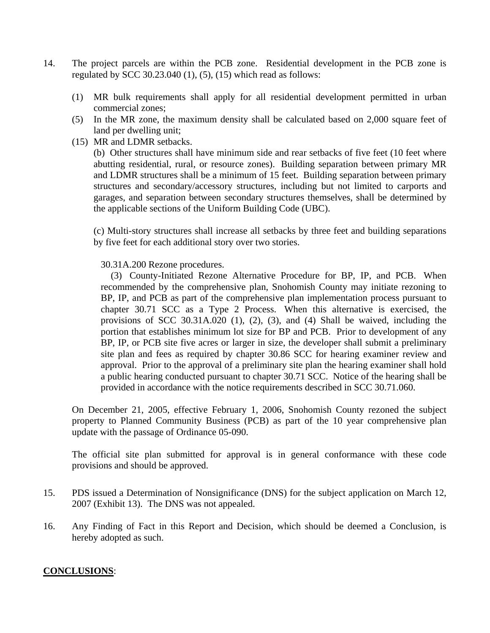- 14. The project parcels are within the PCB zone. Residential development in the PCB zone is regulated by SCC 30.23.040  $(1)$ ,  $(5)$ ,  $(15)$  which read as follows:
	- (1) MR bulk requirements shall apply for all residential development permitted in urban commercial zones;
	- (5) In the MR zone, the maximum density shall be calculated based on 2,000 square feet of land per dwelling unit;
	- (15) MR and LDMR setbacks.

(b) Other structures shall have minimum side and rear setbacks of five feet (10 feet where abutting residential, rural, or resource zones). Building separation between primary MR and LDMR structures shall be a minimum of 15 feet. Building separation between primary structures and secondary/accessory structures, including but not limited to carports and garages, and separation between secondary structures themselves, shall be determined by the applicable sections of the Uniform Building Code (UBC).

(c) Multi-story structures shall increase all setbacks by three feet and building separations by five feet for each additional story over two stories.

30.31A.200 Rezone procedures.

 (3) County-Initiated Rezone Alternative Procedure for BP, IP, and PCB. When recommended by the comprehensive plan, Snohomish County may initiate rezoning to BP, IP, and PCB as part of the comprehensive plan implementation process pursuant to chapter 30.71 SCC as a Type 2 Process. When this alternative is exercised, the provisions of SCC 30.31A.020 (1), (2), (3), and (4) Shall be waived, including the portion that establishes minimum lot size for BP and PCB. Prior to development of any BP, IP, or PCB site five acres or larger in size, the developer shall submit a preliminary site plan and fees as required by chapter 30.86 SCC for hearing examiner review and approval. Prior to the approval of a preliminary site plan the hearing examiner shall hold a public hearing conducted pursuant to chapter 30.71 SCC. Notice of the hearing shall be provided in accordance with the notice requirements described in SCC 30.71.060.

On December 21, 2005, effective February 1, 2006, Snohomish County rezoned the subject property to Planned Community Business (PCB) as part of the 10 year comprehensive plan update with the passage of Ordinance 05-090.

The official site plan submitted for approval is in general conformance with these code provisions and should be approved.

- 15. PDS issued a Determination of Nonsignificance (DNS) for the subject application on March 12, 2007 (Exhibit 13). The DNS was not appealed.
- 16. Any Finding of Fact in this Report and Decision, which should be deemed a Conclusion, is hereby adopted as such.

#### **CONCLUSIONS**: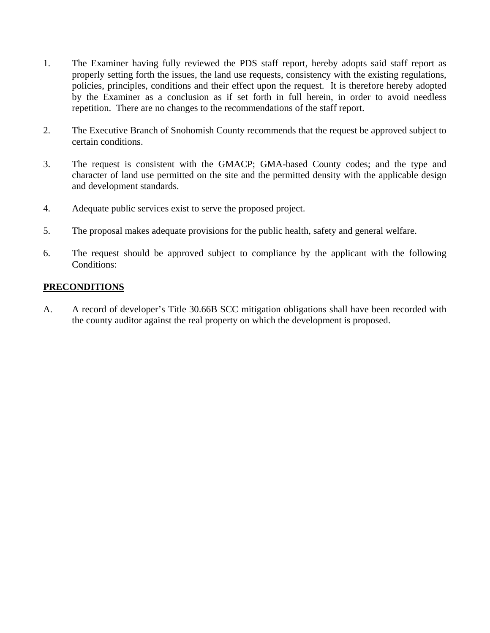- 1. The Examiner having fully reviewed the PDS staff report, hereby adopts said staff report as properly setting forth the issues, the land use requests, consistency with the existing regulations, policies, principles, conditions and their effect upon the request. It is therefore hereby adopted by the Examiner as a conclusion as if set forth in full herein, in order to avoid needless repetition. There are no changes to the recommendations of the staff report.
- 2. The Executive Branch of Snohomish County recommends that the request be approved subject to certain conditions.
- 3. The request is consistent with the GMACP; GMA-based County codes; and the type and character of land use permitted on the site and the permitted density with the applicable design and development standards.
- 4. Adequate public services exist to serve the proposed project.
- 5. The proposal makes adequate provisions for the public health, safety and general welfare.
- 6. The request should be approved subject to compliance by the applicant with the following Conditions:

# **PRECONDITIONS**

A. A record of developer's Title 30.66B SCC mitigation obligations shall have been recorded with the county auditor against the real property on which the development is proposed.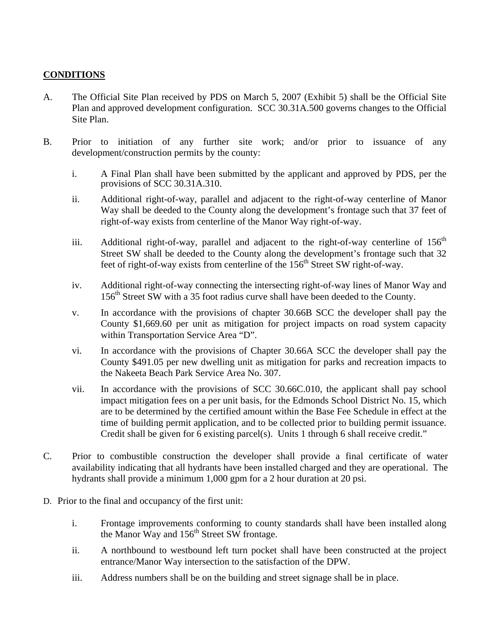# **CONDITIONS**

- A. The Official Site Plan received by PDS on March 5, 2007 (Exhibit 5) shall be the Official Site Plan and approved development configuration. SCC 30.31A.500 governs changes to the Official Site Plan.
- B. Prior to initiation of any further site work; and/or prior to issuance of any development/construction permits by the county:
	- i. A Final Plan shall have been submitted by the applicant and approved by PDS, per the provisions of SCC 30.31A.310.
	- ii. Additional right-of-way, parallel and adjacent to the right-of-way centerline of Manor Way shall be deeded to the County along the development's frontage such that 37 feet of right-of-way exists from centerline of the Manor Way right-of-way.
	- iii. Additional right-of-way, parallel and adjacent to the right-of-way centerline of  $156<sup>th</sup>$ Street SW shall be deeded to the County along the development's frontage such that 32 feet of right-of-way exists from centerline of the 156<sup>th</sup> Street SW right-of-way.
	- iv. Additional right-of-way connecting the intersecting right-of-way lines of Manor Way and 156<sup>th</sup> Street SW with a 35 foot radius curve shall have been deeded to the County.
	- v. In accordance with the provisions of chapter 30.66B SCC the developer shall pay the County \$1,669.60 per unit as mitigation for project impacts on road system capacity within Transportation Service Area "D".
	- vi. In accordance with the provisions of Chapter 30.66A SCC the developer shall pay the County \$491.05 per new dwelling unit as mitigation for parks and recreation impacts to the Nakeeta Beach Park Service Area No. 307.
	- vii. In accordance with the provisions of SCC 30.66C.010, the applicant shall pay school impact mitigation fees on a per unit basis, for the Edmonds School District No. 15, which are to be determined by the certified amount within the Base Fee Schedule in effect at the time of building permit application, and to be collected prior to building permit issuance. Credit shall be given for 6 existing parcel(s). Units 1 through 6 shall receive credit."
- C. Prior to combustible construction the developer shall provide a final certificate of water availability indicating that all hydrants have been installed charged and they are operational. The hydrants shall provide a minimum 1,000 gpm for a 2 hour duration at 20 psi.
- D. Prior to the final and occupancy of the first unit:
	- i. Frontage improvements conforming to county standards shall have been installed along the Manor Way and  $156<sup>th</sup>$  Street SW frontage.
	- ii. A northbound to westbound left turn pocket shall have been constructed at the project entrance/Manor Way intersection to the satisfaction of the DPW.
	- iii. Address numbers shall be on the building and street signage shall be in place.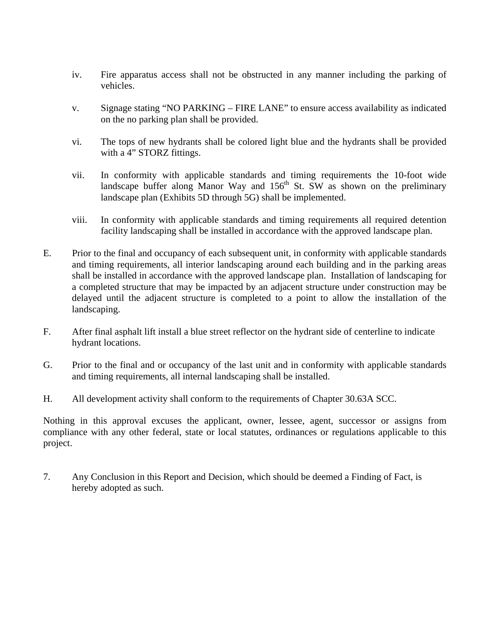- iv. Fire apparatus access shall not be obstructed in any manner including the parking of vehicles.
- v. Signage stating "NO PARKING FIRE LANE" to ensure access availability as indicated on the no parking plan shall be provided.
- vi. The tops of new hydrants shall be colored light blue and the hydrants shall be provided with a 4" STORZ fittings.
- vii. In conformity with applicable standards and timing requirements the 10-foot wide landscape buffer along Manor Way and  $156<sup>th</sup>$  St. SW as shown on the preliminary landscape plan (Exhibits 5D through 5G) shall be implemented.
- viii. In conformity with applicable standards and timing requirements all required detention facility landscaping shall be installed in accordance with the approved landscape plan.
- E. Prior to the final and occupancy of each subsequent unit, in conformity with applicable standards and timing requirements, all interior landscaping around each building and in the parking areas shall be installed in accordance with the approved landscape plan. Installation of landscaping for a completed structure that may be impacted by an adjacent structure under construction may be delayed until the adjacent structure is completed to a point to allow the installation of the landscaping.
- F. After final asphalt lift install a blue street reflector on the hydrant side of centerline to indicate hydrant locations.
- G. Prior to the final and or occupancy of the last unit and in conformity with applicable standards and timing requirements, all internal landscaping shall be installed.
- H. All development activity shall conform to the requirements of Chapter 30.63A SCC.

Nothing in this approval excuses the applicant, owner, lessee, agent, successor or assigns from compliance with any other federal, state or local statutes, ordinances or regulations applicable to this project.

7. Any Conclusion in this Report and Decision, which should be deemed a Finding of Fact, is hereby adopted as such.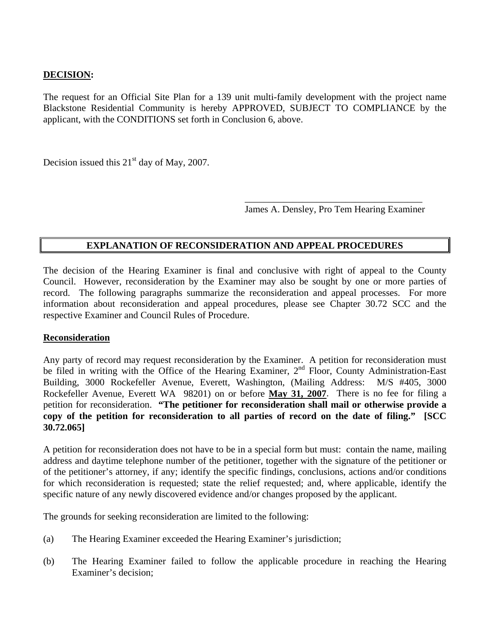# **DECISION:**

The request for an Official Site Plan for a 139 unit multi-family development with the project name Blackstone Residential Community is hereby APPROVED, SUBJECT TO COMPLIANCE by the applicant, with the CONDITIONS set forth in Conclusion 6, above.

Decision issued this  $21<sup>st</sup>$  day of May, 2007.

James A. Densley, Pro Tem Hearing Examiner

# **EXPLANATION OF RECONSIDERATION AND APPEAL PROCEDURES**

 $\overline{\phantom{a}}$  , which is a set of the set of the set of the set of the set of the set of the set of the set of the set of the set of the set of the set of the set of the set of the set of the set of the set of the set of th

The decision of the Hearing Examiner is final and conclusive with right of appeal to the County Council. However, reconsideration by the Examiner may also be sought by one or more parties of record. The following paragraphs summarize the reconsideration and appeal processes. For more information about reconsideration and appeal procedures, please see Chapter 30.72 SCC and the respective Examiner and Council Rules of Procedure.

#### **Reconsideration**

Any party of record may request reconsideration by the Examiner. A petition for reconsideration must be filed in writing with the Office of the Hearing Examiner, 2<sup>nd</sup> Floor, County Administration-East Building, 3000 Rockefeller Avenue, Everett, Washington, (Mailing Address: M/S #405, 3000 Rockefeller Avenue, Everett WA 98201) on or before **May 31, 2007**. There is no fee for filing a petition for reconsideration. **"The petitioner for reconsideration shall mail or otherwise provide a copy of the petition for reconsideration to all parties of record on the date of filing." [SCC 30.72.065]** 

A petition for reconsideration does not have to be in a special form but must: contain the name, mailing address and daytime telephone number of the petitioner, together with the signature of the petitioner or of the petitioner's attorney, if any; identify the specific findings, conclusions, actions and/or conditions for which reconsideration is requested; state the relief requested; and, where applicable, identify the specific nature of any newly discovered evidence and/or changes proposed by the applicant.

The grounds for seeking reconsideration are limited to the following:

- (a) The Hearing Examiner exceeded the Hearing Examiner's jurisdiction;
- (b) The Hearing Examiner failed to follow the applicable procedure in reaching the Hearing Examiner's decision;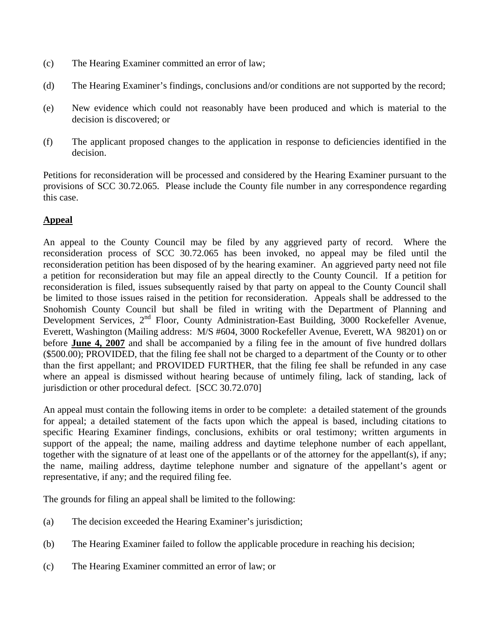- (c) The Hearing Examiner committed an error of law;
- (d) The Hearing Examiner's findings, conclusions and/or conditions are not supported by the record;
- (e) New evidence which could not reasonably have been produced and which is material to the decision is discovered; or
- (f) The applicant proposed changes to the application in response to deficiencies identified in the decision.

Petitions for reconsideration will be processed and considered by the Hearing Examiner pursuant to the provisions of SCC 30.72.065. Please include the County file number in any correspondence regarding this case.

# **Appeal**

An appeal to the County Council may be filed by any aggrieved party of record. Where the reconsideration process of SCC 30.72.065 has been invoked, no appeal may be filed until the reconsideration petition has been disposed of by the hearing examiner. An aggrieved party need not file a petition for reconsideration but may file an appeal directly to the County Council. If a petition for reconsideration is filed, issues subsequently raised by that party on appeal to the County Council shall be limited to those issues raised in the petition for reconsideration. Appeals shall be addressed to the Snohomish County Council but shall be filed in writing with the Department of Planning and Development Services, 2<sup>nd</sup> Floor, County Administration-East Building, 3000 Rockefeller Avenue, Everett, Washington (Mailing address: M/S #604, 3000 Rockefeller Avenue, Everett, WA 98201) on or before **June 4, 2007** and shall be accompanied by a filing fee in the amount of five hundred dollars (\$500.00); PROVIDED, that the filing fee shall not be charged to a department of the County or to other than the first appellant; and PROVIDED FURTHER, that the filing fee shall be refunded in any case where an appeal is dismissed without hearing because of untimely filing, lack of standing, lack of jurisdiction or other procedural defect. [SCC 30.72.070]

An appeal must contain the following items in order to be complete: a detailed statement of the grounds for appeal; a detailed statement of the facts upon which the appeal is based, including citations to specific Hearing Examiner findings, conclusions, exhibits or oral testimony; written arguments in support of the appeal; the name, mailing address and daytime telephone number of each appellant, together with the signature of at least one of the appellants or of the attorney for the appellant(s), if any; the name, mailing address, daytime telephone number and signature of the appellant's agent or representative, if any; and the required filing fee.

The grounds for filing an appeal shall be limited to the following:

- (a) The decision exceeded the Hearing Examiner's jurisdiction;
- (b) The Hearing Examiner failed to follow the applicable procedure in reaching his decision;
- (c) The Hearing Examiner committed an error of law; or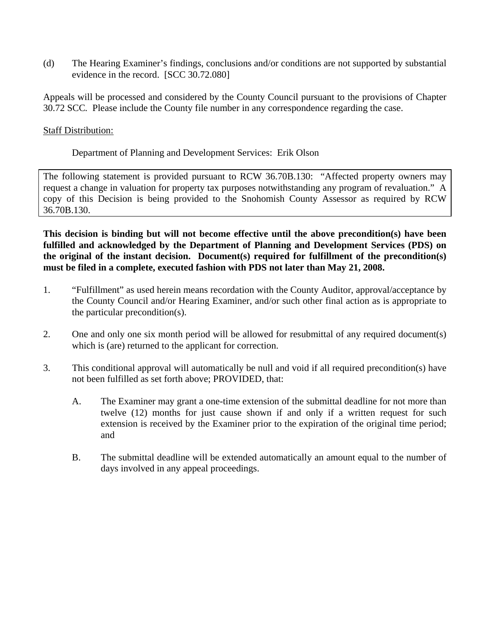(d) The Hearing Examiner's findings, conclusions and/or conditions are not supported by substantial evidence in the record. [SCC 30.72.080]

Appeals will be processed and considered by the County Council pursuant to the provisions of Chapter 30.72 SCC*.* Please include the County file number in any correspondence regarding the case.

### Staff Distribution:

# Department of Planning and Development Services: Erik Olson

The following statement is provided pursuant to RCW 36.70B.130: "Affected property owners may request a change in valuation for property tax purposes notwithstanding any program of revaluation." A copy of this Decision is being provided to the Snohomish County Assessor as required by RCW 36.70B.130.

**This decision is binding but will not become effective until the above precondition(s) have been fulfilled and acknowledged by the Department of Planning and Development Services (PDS) on the original of the instant decision. Document(s) required for fulfillment of the precondition(s) must be filed in a complete, executed fashion with PDS not later than May 21, 2008.**

- 1. "Fulfillment" as used herein means recordation with the County Auditor, approval/acceptance by the County Council and/or Hearing Examiner, and/or such other final action as is appropriate to the particular precondition(s).
- 2. One and only one six month period will be allowed for resubmittal of any required document(s) which is (are) returned to the applicant for correction.
- 3. This conditional approval will automatically be null and void if all required precondition(s) have not been fulfilled as set forth above; PROVIDED, that:
	- A. The Examiner may grant a one-time extension of the submittal deadline for not more than twelve (12) months for just cause shown if and only if a written request for such extension is received by the Examiner prior to the expiration of the original time period; and
	- B. The submittal deadline will be extended automatically an amount equal to the number of days involved in any appeal proceedings.